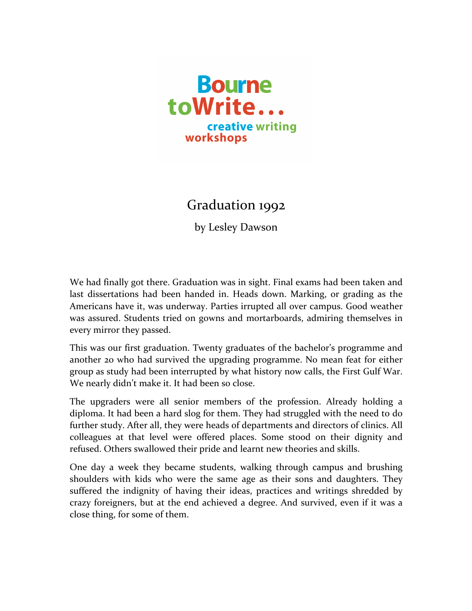

## Graduation 1992

by Lesley Dawson

We had finally got there. Graduation was in sight. Final exams had been taken and last dissertations had been handed in. Heads down. Marking, or grading as the Americans have it, was underway. Parties irrupted all over campus. Good weather was assured. Students tried on gowns and mortarboards, admiring themselves in every mirror they passed.

This was our first graduation. Twenty graduates of the bachelor's programme and another 20 who had survived the upgrading programme. No mean feat for either group as study had been interrupted by what history now calls, the First Gulf War. We nearly didn't make it. It had been so close.

The upgraders were all senior members of the profession. Already holding a diploma. It had been a hard slog for them. They had struggled with the need to do further study. After all, they were heads of departments and directors of clinics. All colleagues at that level were offered places. Some stood on their dignity and refused. Others swallowed their pride and learnt new theories and skills.

One day a week they became students, walking through campus and brushing shoulders with kids who were the same age as their sons and daughters. They suffered the indignity of having their ideas, practices and writings shredded by crazy foreigners, but at the end achieved a degree. And survived, even if it was a close thing, for some of them.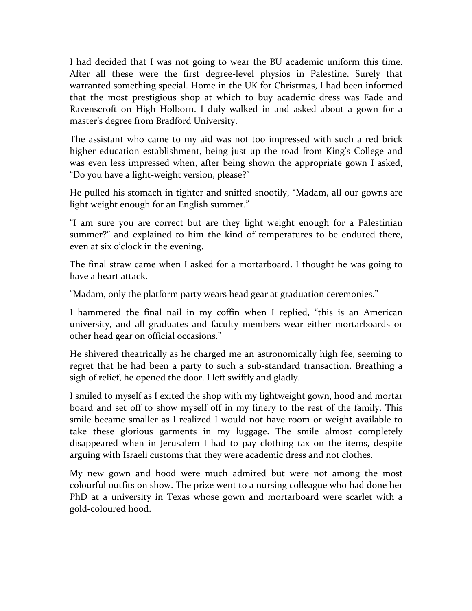I had decided that I was not going to wear the BU academic uniform this time. After all these were the first degree-level physios in Palestine. Surely that warranted something special. Home in the UK for Christmas, I had been informed that the most prestigious shop at which to buy academic dress was Eade and Ravenscroft on High Holborn. I duly walked in and asked about a gown for a master's degree from Bradford University.

The assistant who came to my aid was not too impressed with such a red brick higher education establishment, being just up the road from King's College and was even less impressed when, after being shown the appropriate gown I asked, "Do you have a light-weight version, please?"

He pulled his stomach in tighter and sniffed snootily, "Madam, all our gowns are light weight enough for an English summer."

"I am sure you are correct but are they light weight enough for a Palestinian summer?" and explained to him the kind of temperatures to be endured there, even at six o'clock in the evening.

The final straw came when I asked for a mortarboard. I thought he was going to have a heart attack.

"Madam, only the platform party wears head gear at graduation ceremonies."

I hammered the final nail in my coffin when I replied, "this is an American university, and all graduates and faculty members wear either mortarboards or other head gear on official occasions."

He shivered theatrically as he charged me an astronomically high fee, seeming to regret that he had been a party to such a sub-standard transaction. Breathing a sigh of relief, he opened the door. I left swiftly and gladly.

I smiled to myself as I exited the shop with my lightweight gown, hood and mortar board and set off to show myself off in my finery to the rest of the family. This smile became smaller as I realized I would not have room or weight available to take these glorious garments in my luggage. The smile almost completely disappeared when in Jerusalem I had to pay clothing tax on the items, despite arguing with Israeli customs that they were academic dress and not clothes.

My new gown and hood were much admired but were not among the most colourful outfits on show. The prize went to a nursing colleague who had done her PhD at a university in Texas whose gown and mortarboard were scarlet with a gold-coloured hood.